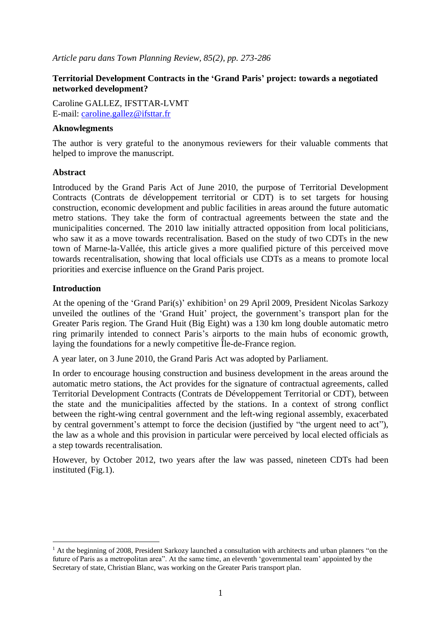*Article paru dans Town Planning Review, 85(2), pp. 273-286*

# **Territorial Development Contracts in the 'Grand Paris' project: towards a negotiated networked development?**

Caroline GALLEZ, IFSTTAR-LVMT E-mail: [caroline.gallez@ifsttar.fr](mailto:caroline.gallez@ifsttar.fr)

### **Aknowlegments**

The author is very grateful to the anonymous reviewers for their valuable comments that helped to improve the manuscript.

## **Abstract**

Introduced by the Grand Paris Act of June 2010, the purpose of Territorial Development Contracts (Contrats de développement territorial or CDT) is to set targets for housing construction, economic development and public facilities in areas around the future automatic metro stations. They take the form of contractual agreements between the state and the municipalities concerned. The 2010 law initially attracted opposition from local politicians, who saw it as a move towards recentralisation. Based on the study of two CDTs in the new town of Marne-la-Vallée, this article gives a more qualified picture of this perceived move towards recentralisation, showing that local officials use CDTs as a means to promote local priorities and exercise influence on the Grand Paris project.

## **Introduction**

 $\overline{\phantom{a}}$ 

At the opening of the 'Grand Pari(s)' exhibition<sup>1</sup> on 29 April 2009, President Nicolas Sarkozy unveiled the outlines of the 'Grand Huit' project, the government's transport plan for the Greater Paris region. The Grand Huit (Big Eight) was a 130 km long double automatic metro ring primarily intended to connect Paris's airports to the main hubs of economic growth, laying the foundations for a newly competitive Île-de-France region.

A year later, on 3 June 2010, the Grand Paris Act was adopted by Parliament.

In order to encourage housing construction and business development in the areas around the automatic metro stations, the Act provides for the signature of contractual agreements, called Territorial Development Contracts (Contrats de Développement Territorial or CDT), between the state and the municipalities affected by the stations. In a context of strong conflict between the right-wing central government and the left-wing regional assembly, exacerbated by central government's attempt to force the decision (justified by "the urgent need to act"), the law as a whole and this provision in particular were perceived by local elected officials as a step towards recentralisation.

However, by October 2012, two years after the law was passed, nineteen CDTs had been instituted (Fig.1).

 $1$  At the beginning of 2008, President Sarkozy launched a consultation with architects and urban planners "on the future of Paris as a metropolitan area". At the same time, an eleventh 'governmental team' appointed by the Secretary of state, Christian Blanc, was working on the Greater Paris transport plan.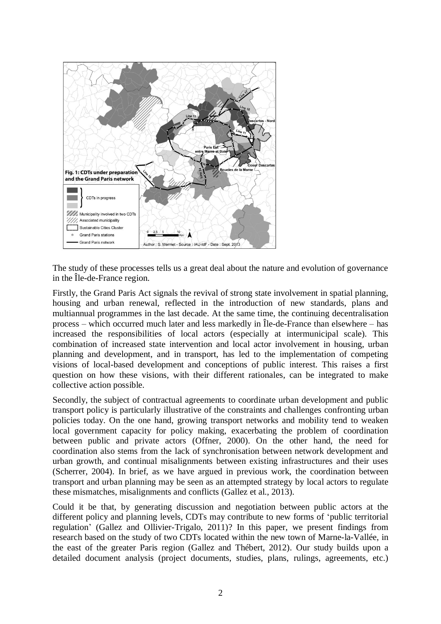

The study of these processes tells us a great deal about the nature and evolution of governance in the Île-de-France region.

Firstly, the Grand Paris Act signals the revival of strong state involvement in spatial planning, housing and urban renewal, reflected in the introduction of new standards, plans and multiannual programmes in the last decade. At the same time, the continuing decentralisation process – which occurred much later and less markedly in Île-de-France than elsewhere – has increased the responsibilities of local actors (especially at intermunicipal scale). This combination of increased state intervention and local actor involvement in housing, urban planning and development, and in transport, has led to the implementation of competing visions of local-based development and conceptions of public interest. This raises a first question on how these visions, with their different rationales, can be integrated to make collective action possible.

Secondly, the subject of contractual agreements to coordinate urban development and public transport policy is particularly illustrative of the constraints and challenges confronting urban policies today. On the one hand, growing transport networks and mobility tend to weaken local government capacity for policy making, exacerbating the problem of coordination between public and private actors (Offner, 2000). On the other hand, the need for coordination also stems from the lack of synchronisation between network development and urban growth, and continual misalignments between existing infrastructures and their uses (Scherrer, 2004). In brief, as we have argued in previous work, the coordination between transport and urban planning may be seen as an attempted strategy by local actors to regulate these mismatches, misalignments and conflicts (Gallez et al., 2013).

Could it be that, by generating discussion and negotiation between public actors at the different policy and planning levels, CDTs may contribute to new forms of 'public territorial regulation' (Gallez and Ollivier-Trigalo, 2011)? In this paper, we present findings from research based on the study of two CDTs located within the new town of Marne-la-Vallée, in the east of the greater Paris region (Gallez and Thébert, 2012). Our study builds upon a detailed document analysis (project documents, studies, plans, rulings, agreements, etc.)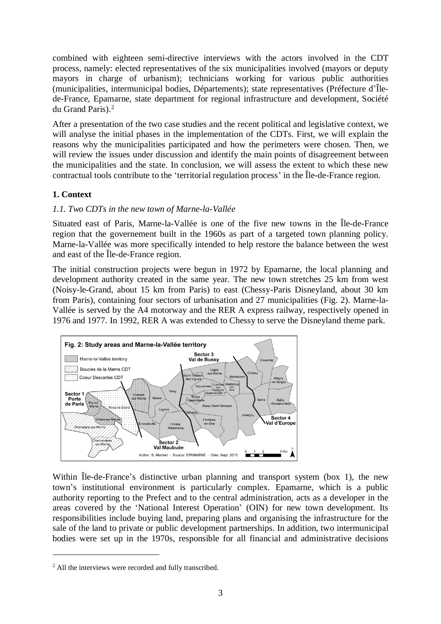combined with eighteen semi-directive interviews with the actors involved in the CDT process, namely: elected representatives of the six municipalities involved (mayors or deputy mayors in charge of urbanism); technicians working for various public authorities (municipalities, intermunicipal bodies, Départements); state representatives (Préfecture d'Îlede-France, Epamarne, state department for regional infrastructure and development, Société du Grand Paris). 2

After a presentation of the two case studies and the recent political and legislative context, we will analyse the initial phases in the implementation of the CDTs. First, we will explain the reasons why the municipalities participated and how the perimeters were chosen. Then, we will review the issues under discussion and identify the main points of disagreement between the municipalities and the state. In conclusion, we will assess the extent to which these new contractual tools contribute to the 'territorial regulation process' in the Île-de-France region.

# **1. Context**

# *1.1. Two CDTs in the new town of Marne-la-Vallée*

Situated east of Paris, Marne-la-Vallée is one of the five new towns in the Île-de-France region that the governement built in the 1960s as part of a targeted town planning policy. Marne-la-Vallée was more specifically intended to help restore the balance between the west and east of the Île-de-France region.

The initial construction projects were begun in 1972 by Epamarne, the local planning and development authority created in the same year. The new town stretches 25 km from west (Noisy-le-Grand, about 15 km from Paris) to east (Chessy-Paris Disneyland, about 30 km from Paris), containing four sectors of urbanisation and 27 municipalities (Fig. 2). Marne-la-Vallée is served by the A4 motorway and the RER A express railway, respectively opened in 1976 and 1977. In 1992, RER A was extended to Chessy to serve the Disneyland theme park.



Within <u>Île-de-France's</u> distinctive urban planning and transport system (box 1), the new town's institutional environment is particularly complex. Epamarne, which is a public authority reporting to the Prefect and to the central administration, acts as a developer in the areas covered by the 'National Interest Operation' (OIN) for new town development. Its responsibilities include buying land, preparing plans and organising the infrastructure for the sale of the land to private or public development partnerships. In addition, two intermunicipal bodies were set up in the 1970s, responsible for all financial and administrative decisions

 $\overline{\phantom{a}}$ 

<sup>2</sup> All the interviews were recorded and fully transcribed.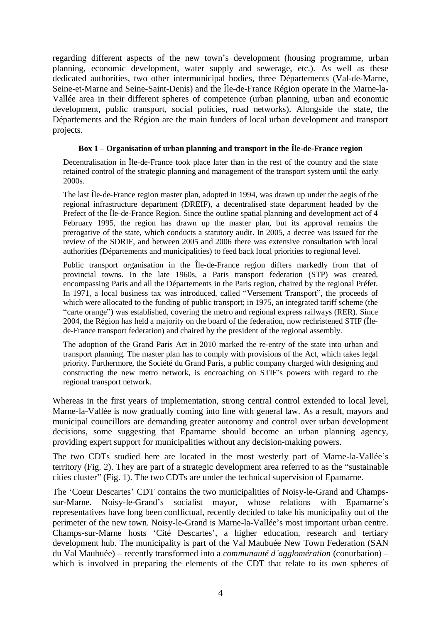regarding different aspects of the new town's development (housing programme, urban planning, economic development, water supply and sewerage, etc.). As well as these dedicated authorities, two other intermunicipal bodies, three Départements (Val-de-Marne, Seine-et-Marne and Seine-Saint-Denis) and the Île-de-France Région operate in the Marne-la-Vallée area in their different spheres of competence (urban planning, urban and economic development, public transport, social policies, road networks). Alongside the state, the Départements and the Région are the main funders of local urban development and transport projects.

### **Box 1 – Organisation of urban planning and transport in the Île-de-France region**

Decentralisation in Île-de-France took place later than in the rest of the country and the state retained control of the strategic planning and management of the transport system until the early 2000s.

The last Île-de-France region master plan, adopted in 1994, was drawn up under the aegis of the regional infrastructure department (DREIF), a decentralised state department headed by the Prefect of the Île-de-France Region. Since the outline spatial planning and development act of 4 February 1995, the region has drawn up the master plan, but its approval remains the prerogative of the state, which conducts a statutory audit. In 2005, a decree was issued for the review of the SDRIF, and between 2005 and 2006 there was extensive consultation with local authorities (Départements and municipalities) to feed back local priorities to regional level.

Public transport organisation in the Île-de-France region differs markedly from that of provincial towns. In the late 1960s, a Paris transport federation (STP) was created, encompassing Paris and all the Départements in the Paris region, chaired by the regional Préfet. In 1971, a local business tax was introduced, called "Versement Transport", the proceeds of which were allocated to the funding of public transport; in 1975, an integrated tariff scheme (the "carte orange") was established, covering the metro and regional express railways (RER). Since 2004, the Région has held a majority on the board of the federation, now rechristened STIF (Îlede-France transport federation) and chaired by the president of the regional assembly.

The adoption of the Grand Paris Act in 2010 marked the re-entry of the state into urban and transport planning. The master plan has to comply with provisions of the Act, which takes legal priority. Furthermore, the Société du Grand Paris, a public company charged with designing and constructing the new metro network, is encroaching on STIF's powers with regard to the regional transport network.

Whereas in the first years of implementation, strong central control extended to local level, Marne-la-Vallée is now gradually coming into line with general law. As a result, mayors and municipal councillors are demanding greater autonomy and control over urban development decisions, some suggesting that Epamarne should become an urban planning agency, providing expert support for municipalities without any decision-making powers.

The two CDTs studied here are located in the most westerly part of Marne-la-Vallée's territory (Fig. 2). They are part of a strategic development area referred to as the "sustainable cities cluster" (Fig. 1). The two CDTs are under the technical supervision of Epamarne.

The 'Coeur Descartes' CDT contains the two municipalities of Noisy-le-Grand and Champssur-Marne. Noisy-le-Grand's socialist mayor, whose relations with Epamarne's representatives have long been conflictual, recently decided to take his municipality out of the perimeter of the new town. Noisy-le-Grand is Marne-la-Vallée's most important urban centre. Champs-sur-Marne hosts 'Cité Descartes', a higher education, research and tertiary development hub. The municipality is part of the Val Maubuée New Town Federation (SAN du Val Maubuée) – recently transformed into a *communauté d'agglomération* (conurbation) – which is involved in preparing the elements of the CDT that relate to its own spheres of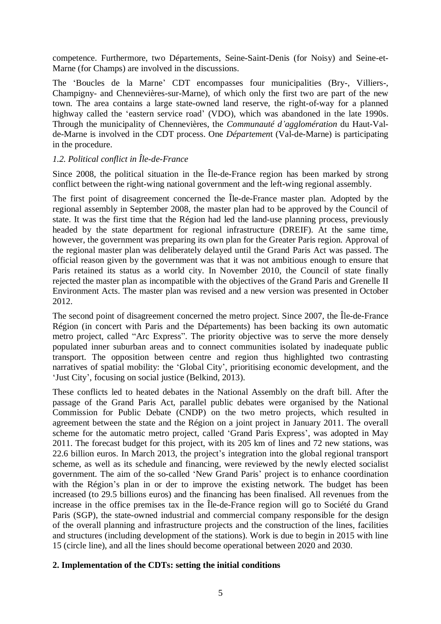competence. Furthermore, two Départements, Seine-Saint-Denis (for Noisy) and Seine-et-Marne (for Champs) are involved in the discussions.

The 'Boucles de la Marne' CDT encompasses four municipalities (Bry-, Villiers-, Champigny- and Chennevières-sur-Marne), of which only the first two are part of the new town. The area contains a large state-owned land reserve, the right-of-way for a planned highway called the 'eastern service road' (VDO), which was abandoned in the late 1990s. Through the municipality of Chennevières, the *Communauté d'agglomération* du Haut-Valde-Marne is involved in the CDT process. One *Départemen*t (Val-de-Marne) is participating in the procedure.

## *1.2. Political conflict in Île-de-France*

Since 2008, the political situation in the Île-de-France region has been marked by strong conflict between the right-wing national government and the left-wing regional assembly.

The first point of disagreement concerned the Île-de-France master plan. Adopted by the regional assembly in September 2008, the master plan had to be approved by the Council of state. It was the first time that the Région had led the land-use planning process, previously headed by the state department for regional infrastructure (DREIF). At the same time, however, the government was preparing its own plan for the Greater Paris region. Approval of the regional master plan was deliberately delayed until the Grand Paris Act was passed. The official reason given by the government was that it was not ambitious enough to ensure that Paris retained its status as a world city. In November 2010, the Council of state finally rejected the master plan as incompatible with the objectives of the Grand Paris and Grenelle II Environment Acts. The master plan was revised and a new version was presented in October 2012.

The second point of disagreement concerned the metro project. Since 2007, the Île-de-France Région (in concert with Paris and the Départements) has been backing its own automatic metro project, called "Arc Express". The priority objective was to serve the more densely populated inner suburban areas and to connect communities isolated by inadequate public transport. The opposition between centre and region thus highlighted two contrasting narratives of spatial mobility: the 'Global City', prioritising economic development, and the 'Just City', focusing on social justice (Belkind, 2013).

These conflicts led to heated debates in the National Assembly on the draft bill. After the passage of the Grand Paris Act, parallel public debates were organised by the National Commission for Public Debate (CNDP) on the two metro projects, which resulted in agreement between the state and the Région on a joint project in January 2011. The overall scheme for the automatic metro project, called 'Grand Paris Express', was adopted in May 2011. The forecast budget for this project, with its 205 km of lines and 72 new stations, was 22.6 billion euros. In March 2013, the project's integration into the global regional transport scheme, as well as its schedule and financing, were reviewed by the newly elected socialist government. The aim of the so-called 'New Grand Paris' project is to enhance coordination with the Région's plan in or der to improve the existing network. The budget has been increased (to 29.5 billions euros) and the financing has been finalised. All revenues from the increase in the office premises tax in the Île-de-France region will go to Société du Grand Paris (SGP), the state-owned industrial and commercial company responsible for the design of the overall planning and infrastructure projects and the construction of the lines, facilities and structures (including development of the stations). Work is due to begin in 2015 with line 15 (circle line), and all the lines should become operational between 2020 and 2030.

### **2. Implementation of the CDTs: setting the initial conditions**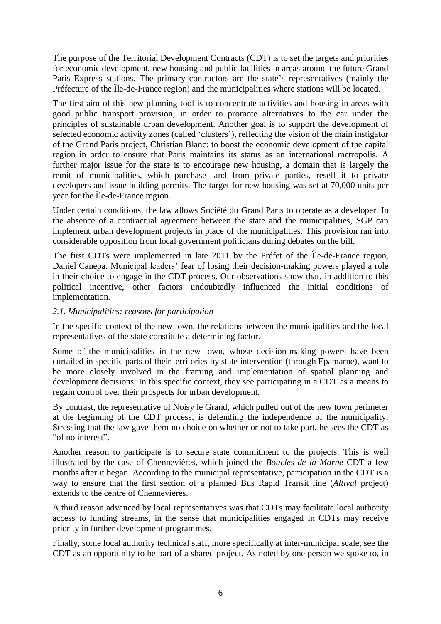The purpose of the Territorial Development Contracts (CDT) is to set the targets and priorities for economic development, new housing and public facilities in areas around the future Grand Paris Express stations. The primary contractors are the state's representatives (mainly the Préfecture of the Île-de-France region) and the municipalities where stations will be located.

The first aim of this new planning tool is to concentrate activities and housing in areas with good public transport provision, in order to promote alternatives to the car under the principles of sustainable urban development. Another goal is to support the development of selected economic activity zones (called 'clusters'), reflecting the vision of the main instigator of the Grand Paris project, Christian Blanc: to boost the economic development of the capital region in order to ensure that Paris maintains its status as an international metropolis. A further major issue for the state is to encourage new housing, a domain that is largely the remit of municipalities, which purchase land from private parties, resell it to private developers and issue building permits. The target for new housing was set at 70,000 units per year for the Île-de-France region.

Under certain conditions, the law allows Société du Grand Paris to operate as a developer. In the absence of a contractual agreement between the state and the municipalities, SGP can implement urban development projects in place of the municipalities. This provision ran into considerable opposition from local government politicians during debates on the bill.

The first CDTs were implemented in late 2011 by the Préfet of the Île-de-France region, Daniel Canepa. Municipal leaders' fear of losing their decision-making powers played a role in their choice to engage in the CDT process. Our observations show that, in addition to this political incentive, other factors undoubtedly influenced the initial conditions of implementation.

### *2.1. Municipalities: reasons for participation*

In the specific context of the new town, the relations between the municipalities and the local representatives of the state constitute a determining factor.

Some of the municipalities in the new town, whose decision-making powers have been curtailed in specific parts of their territories by state intervention (through Epamarne), want to be more closely involved in the framing and implementation of spatial planning and development decisions. In this specific context, they see participating in a CDT as a means to regain control over their prospects for urban development.

By contrast, the representative of Noisy le Grand, which pulled out of the new town perimeter at the beginning of the CDT process, is defending the independence of the municipality. Stressing that the law gave them no choice on whether or not to take part, he sees the CDT as "of no interest".

Another reason to participate is to secure state commitment to the projects. This is well illustrated by the case of Chennevières, which joined the *Boucles de la Marne* CDT a few months after it began. According to the municipal representative, participation in the CDT is a way to ensure that the first section of a planned Bus Rapid Transit line (*Altival* project) extends to the centre of Chennevières.

A third reason advanced by local representatives was that CDTs may facilitate local authority access to funding streams, in the sense that municipalities engaged in CDTs may receive priority in further development programmes.

Finally, some local authority technical staff, more specifically at inter-municipal scale, see the CDT as an opportunity to be part of a shared project. As noted by one person we spoke to, in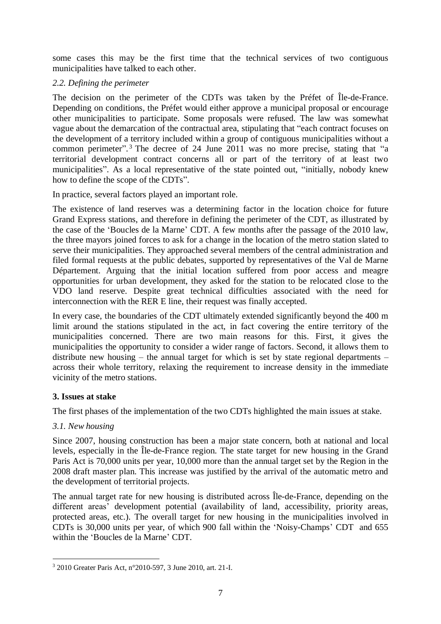some cases this may be the first time that the technical services of two contiguous municipalities have talked to each other.

## *2.2. Defining the perimeter*

The decision on the perimeter of the CDTs was taken by the Préfet of Île-de-France. Depending on conditions, the Préfet would either approve a municipal proposal or encourage other municipalities to participate. Some proposals were refused. The law was somewhat vague about the demarcation of the contractual area, stipulating that "each contract focuses on the development of a territory included within a group of contiguous municipalities without a common perimeter". <sup>3</sup> The decree of 24 June 2011 was no more precise, stating that "a territorial development contract concerns all or part of the territory of at least two municipalities". As a local representative of the state pointed out, "initially, nobody knew how to define the scope of the CDTs".

In practice, several factors played an important role.

The existence of land reserves was a determining factor in the location choice for future Grand Express stations, and therefore in defining the perimeter of the CDT, as illustrated by the case of the 'Boucles de la Marne' CDT. A few months after the passage of the 2010 law, the three mayors joined forces to ask for a change in the location of the metro station slated to serve their municipalities. They approached several members of the central administration and filed formal requests at the public debates, supported by representatives of the Val de Marne Département. Arguing that the initial location suffered from poor access and meagre opportunities for urban development, they asked for the station to be relocated close to the VDO land reserve. Despite great technical difficulties associated with the need for interconnection with the RER E line, their request was finally accepted.

In every case, the boundaries of the CDT ultimately extended significantly beyond the 400 m limit around the stations stipulated in the act, in fact covering the entire territory of the municipalities concerned. There are two main reasons for this. First, it gives the municipalities the opportunity to consider a wider range of factors. Second, it allows them to distribute new housing – the annual target for which is set by state regional departments – across their whole territory, relaxing the requirement to increase density in the immediate vicinity of the metro stations.

# **3. Issues at stake**

The first phases of the implementation of the two CDTs highlighted the main issues at stake.

# *3.1. New housing*

 $\overline{\phantom{a}}$ 

Since 2007, housing construction has been a major state concern, both at national and local levels, especially in the Île-de-France region. The state target for new housing in the Grand Paris Act is 70,000 units per year, 10,000 more than the annual target set by the Region in the 2008 draft master plan. This increase was justified by the arrival of the automatic metro and the development of territorial projects.

The annual target rate for new housing is distributed across Île-de-France, depending on the different areas' development potential (availability of land, accessibility, priority areas, protected areas, etc.). The overall target for new housing in the municipalities involved in CDTs is 30,000 units per year, of which 900 fall within the 'Noisy-Champs' CDT and 655 within the 'Boucles de la Marne' CDT.

<sup>3</sup> 2010 Greater Paris Act, n°2010-597, 3 June 2010, art. 21-I.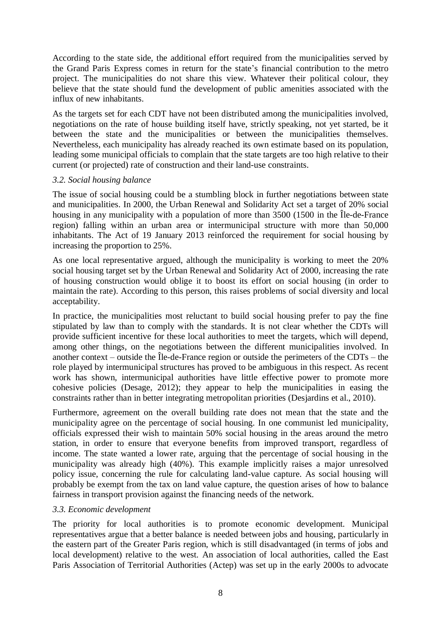According to the state side, the additional effort required from the municipalities served by the Grand Paris Express comes in return for the state's financial contribution to the metro project. The municipalities do not share this view. Whatever their political colour, they believe that the state should fund the development of public amenities associated with the influx of new inhabitants.

As the targets set for each CDT have not been distributed among the municipalities involved, negotiations on the rate of house building itself have, strictly speaking, not yet started, be it between the state and the municipalities or between the municipalities themselves. Nevertheless, each municipality has already reached its own estimate based on its population, leading some municipal officials to complain that the state targets are too high relative to their current (or projected) rate of construction and their land-use constraints.

## *3.2. Social housing balance*

The issue of social housing could be a stumbling block in further negotiations between state and municipalities. In 2000, the Urban Renewal and Solidarity Act set a target of 20% social housing in any municipality with a population of more than 3500 (1500 in the Île-de-France region) falling within an urban area or intermunicipal structure with more than 50,000 inhabitants. The Act of 19 January 2013 reinforced the requirement for social housing by increasing the proportion to 25%.

As one local representative argued, although the municipality is working to meet the 20% social housing target set by the Urban Renewal and Solidarity Act of 2000, increasing the rate of housing construction would oblige it to boost its effort on social housing (in order to maintain the rate). According to this person, this raises problems of social diversity and local acceptability.

In practice, the municipalities most reluctant to build social housing prefer to pay the fine stipulated by law than to comply with the standards. It is not clear whether the CDTs will provide sufficient incentive for these local authorities to meet the targets, which will depend, among other things, on the negotiations between the different municipalities involved. In another context – outside the Île-de-France region or outside the perimeters of the CDTs – the role played by intermunicipal structures has proved to be ambiguous in this respect. As recent work has shown, intermunicipal authorities have little effective power to promote more cohesive policies (Desage, 2012); they appear to help the municipalities in easing the constraints rather than in better integrating metropolitan priorities (Desjardins et al., 2010).

Furthermore, agreement on the overall building rate does not mean that the state and the municipality agree on the percentage of social housing. In one communist led municipality, officials expressed their wish to maintain 50% social housing in the areas around the metro station, in order to ensure that everyone benefits from improved transport, regardless of income. The state wanted a lower rate, arguing that the percentage of social housing in the municipality was already high (40%). This example implicitly raises a major unresolved policy issue, concerning the rule for calculating land-value capture. As social housing will probably be exempt from the tax on land value capture, the question arises of how to balance fairness in transport provision against the financing needs of the network.

### *3.3. Economic development*

The priority for local authorities is to promote economic development. Municipal representatives argue that a better balance is needed between jobs and housing, particularly in the eastern part of the Greater Paris region, which is still disadvantaged (in terms of jobs and local development) relative to the west. An association of local authorities, called the East Paris Association of Territorial Authorities (Actep) was set up in the early 2000s to advocate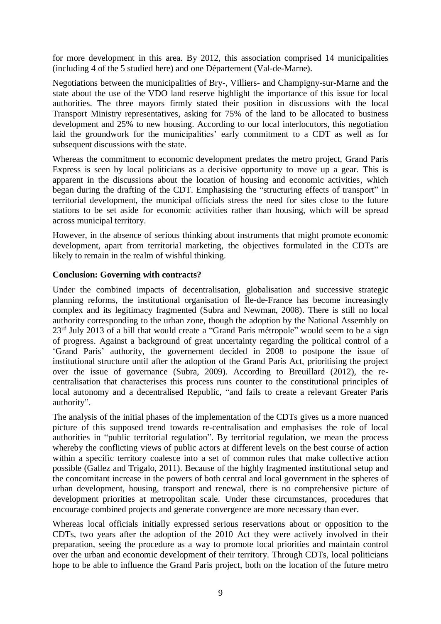for more development in this area. By 2012, this association comprised 14 municipalities (including 4 of the 5 studied here) and one Département (Val-de-Marne).

Negotiations between the municipalities of Bry-, Villiers- and Champigny-sur-Marne and the state about the use of the VDO land reserve highlight the importance of this issue for local authorities. The three mayors firmly stated their position in discussions with the local Transport Ministry representatives, asking for 75% of the land to be allocated to business development and 25% to new housing. According to our local interlocutors, this negotiation laid the groundwork for the municipalities' early commitment to a CDT as well as for subsequent discussions with the state.

Whereas the commitment to economic development predates the metro project, Grand Paris Express is seen by local politicians as a decisive opportunity to move up a gear. This is apparent in the discussions about the location of housing and economic activities, which began during the drafting of the CDT. Emphasising the "structuring effects of transport" in territorial development, the municipal officials stress the need for sites close to the future stations to be set aside for economic activities rather than housing, which will be spread across municipal territory.

However, in the absence of serious thinking about instruments that might promote economic development, apart from territorial marketing, the objectives formulated in the CDTs are likely to remain in the realm of wishful thinking.

## **Conclusion: Governing with contracts?**

Under the combined impacts of decentralisation, globalisation and successive strategic planning reforms, the institutional organisation of Île-de-France has become increasingly complex and its legitimacy fragmented (Subra and Newman, 2008). There is still no local authority corresponding to the urban zone, though the adoption by the National Assembly on 23rd July 2013 of a bill that would create a "Grand Paris métropole" would seem to be a sign of progress. Against a background of great uncertainty regarding the political control of a 'Grand Paris' authority, the governement decided in 2008 to postpone the issue of institutional structure until after the adoption of the Grand Paris Act, prioritising the project over the issue of governance (Subra, 2009). According to Breuillard (2012), the recentralisation that characterises this process runs counter to the constitutional principles of local autonomy and a decentralised Republic, "and fails to create a relevant Greater Paris authority".

The analysis of the initial phases of the implementation of the CDTs gives us a more nuanced picture of this supposed trend towards re-centralisation and emphasises the role of local authorities in "public territorial regulation". By territorial regulation, we mean the process whereby the conflicting views of public actors at different levels on the best course of action within a specific territory coalesce into a set of common rules that make collective action possible (Gallez and Trigalo, 2011). Because of the highly fragmented institutional setup and the concomitant increase in the powers of both central and local government in the spheres of urban development, housing, transport and renewal, there is no comprehensive picture of development priorities at metropolitan scale. Under these circumstances, procedures that encourage combined projects and generate convergence are more necessary than ever.

Whereas local officials initially expressed serious reservations about or opposition to the CDTs, two years after the adoption of the 2010 Act they were actively involved in their preparation, seeing the procedure as a way to promote local priorities and maintain control over the urban and economic development of their territory. Through CDTs, local politicians hope to be able to influence the Grand Paris project, both on the location of the future metro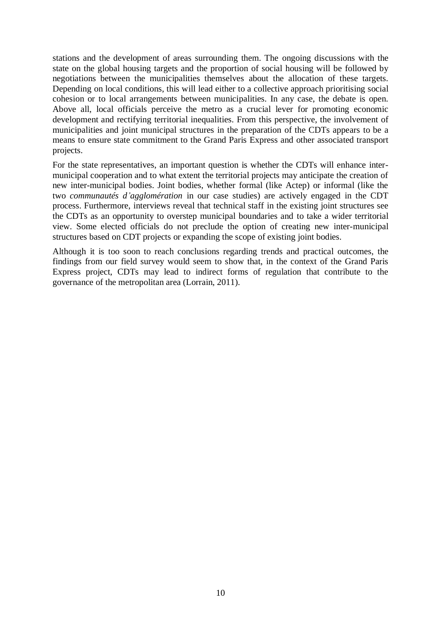stations and the development of areas surrounding them. The ongoing discussions with the state on the global housing targets and the proportion of social housing will be followed by negotiations between the municipalities themselves about the allocation of these targets. Depending on local conditions, this will lead either to a collective approach prioritising social cohesion or to local arrangements between municipalities. In any case, the debate is open. Above all, local officials perceive the metro as a crucial lever for promoting economic development and rectifying territorial inequalities. From this perspective, the involvement of municipalities and joint municipal structures in the preparation of the CDTs appears to be a means to ensure state commitment to the Grand Paris Express and other associated transport projects.

For the state representatives, an important question is whether the CDTs will enhance intermunicipal cooperation and to what extent the territorial projects may anticipate the creation of new inter-municipal bodies. Joint bodies, whether formal (like Actep) or informal (like the two *communautés d'agglomération* in our case studies) are actively engaged in the CDT process. Furthermore, interviews reveal that technical staff in the existing joint structures see the CDTs as an opportunity to overstep municipal boundaries and to take a wider territorial view. Some elected officials do not preclude the option of creating new inter-municipal structures based on CDT projects or expanding the scope of existing joint bodies.

Although it is too soon to reach conclusions regarding trends and practical outcomes, the findings from our field survey would seem to show that, in the context of the Grand Paris Express project, CDTs may lead to indirect forms of regulation that contribute to the governance of the metropolitan area (Lorrain, 2011).